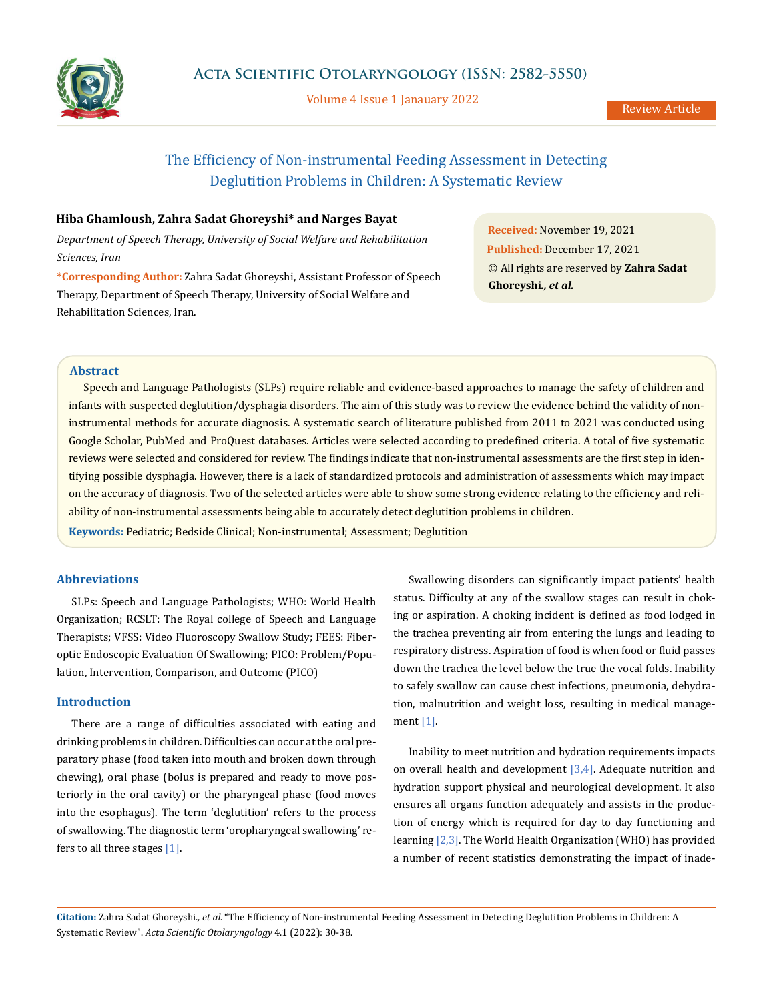

Volume 4 Issue 1 Janauary 2022

# The Efficiency of Non-instrumental Feeding Assessment in Detecting Deglutition Problems in Children: A Systematic Review

# **Hiba Ghamloush, Zahra Sadat Ghoreyshi\* and Narges Bayat**

*Department of Speech Therapy, University of Social Welfare and Rehabilitation Sciences, Iran*

**\*Corresponding Author:** Zahra Sadat Ghoreyshi, Assistant Professor of Speech Therapy, Department of Speech Therapy, University of Social Welfare and Rehabilitation Sciences, Iran.

**Received:** November 19, 2021 **Published:** December 17, 2021 © All rights are reserved by **Zahra Sadat Ghoreyshi***., et al.*

# **Abstract**

Speech and Language Pathologists (SLPs) require reliable and evidence-based approaches to manage the safety of children and infants with suspected deglutition/dysphagia disorders. The aim of this study was to review the evidence behind the validity of noninstrumental methods for accurate diagnosis. A systematic search of literature published from 2011 to 2021 was conducted using Google Scholar, PubMed and ProQuest databases. Articles were selected according to predefined criteria. A total of five systematic reviews were selected and considered for review. The findings indicate that non-instrumental assessments are the first step in identifying possible dysphagia. However, there is a lack of standardized protocols and administration of assessments which may impact on the accuracy of diagnosis. Two of the selected articles were able to show some strong evidence relating to the efficiency and reliability of non-instrumental assessments being able to accurately detect deglutition problems in children.

**Keywords:** Pediatric; Bedside Clinical; Non-instrumental; Assessment; Deglutition

### **Abbreviations**

SLPs: Speech and Language Pathologists; WHO: World Health Organization; RCSLT: The Royal college of Speech and Language Therapists; VFSS: Video Fluoroscopy Swallow Study; FEES: Fiberoptic Endoscopic Evaluation Of Swallowing; PICO: Problem/Population, Intervention, Comparison, and Outcome (PICO)

# **Introduction**

There are a range of difficulties associated with eating and drinking problems in children. Difficulties can occur at the oral preparatory phase (food taken into mouth and broken down through chewing), oral phase (bolus is prepared and ready to move posteriorly in the oral cavity) or the pharyngeal phase (food moves into the esophagus). The term 'deglutition' refers to the process of swallowing. The diagnostic term 'oropharyngeal swallowing' refers to all three stages  $[1]$ .

Swallowing disorders can significantly impact patients' health status. Difficulty at any of the swallow stages can result in choking or aspiration. A choking incident is defined as food lodged in the trachea preventing air from entering the lungs and leading to respiratory distress. Aspiration of food is when food or fluid passes down the trachea the level below the true the vocal folds. Inability to safely swallow can cause chest infections, pneumonia, dehydration, malnutrition and weight loss, resulting in medical management [1].

Inability to meet nutrition and hydration requirements impacts on overall health and development  $[3,4]$ . Adequate nutrition and hydration support physical and neurological development. It also ensures all organs function adequately and assists in the production of energy which is required for day to day functioning and learning [2,3]. The World Health Organization (WHO) has provided a number of recent statistics demonstrating the impact of inade-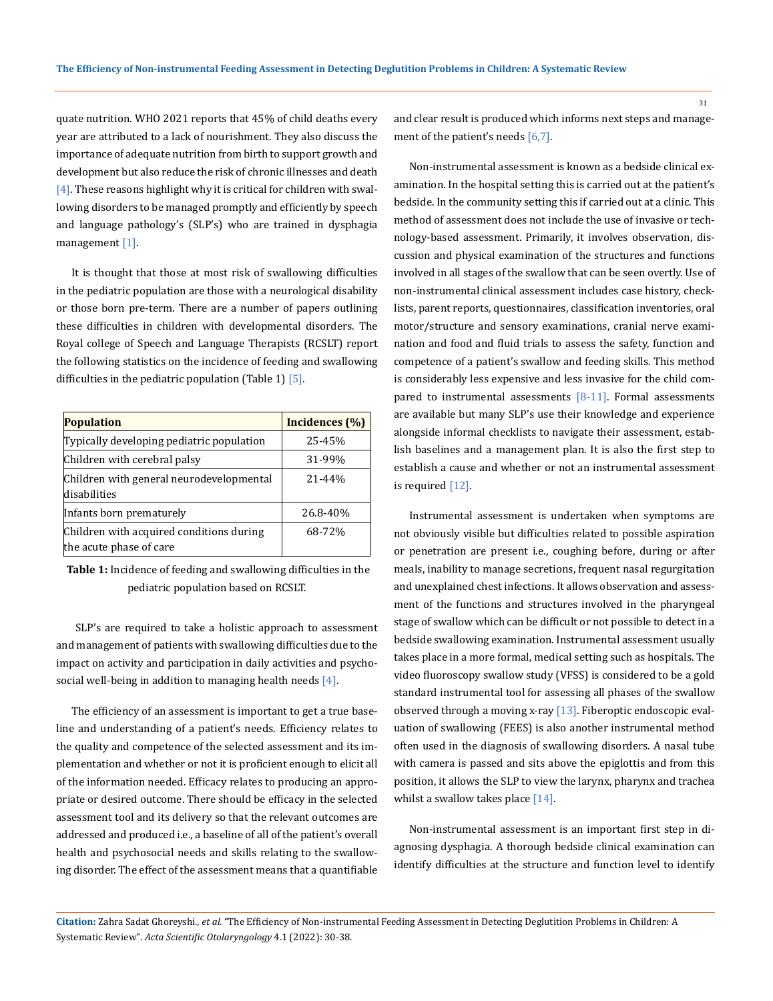quate nutrition. WHO 2021 reports that 45% of child deaths every year are attributed to a lack of nourishment. They also discuss the importance of adequate nutrition from birth to support growth and development but also reduce the risk of chronic illnesses and death  $[4]$ . These reasons highlight why it is critical for children with swallowing disorders to be managed promptly and efficiently by speech and language pathology's (SLP's) who are trained in dysphagia management [1].

It is thought that those at most risk of swallowing difficulties in the pediatric population are those with a neurological disability or those born pre-term. There are a number of papers outlining these difficulties in children with developmental disorders. The Royal college of Speech and Language Therapists (RCSLT) report the following statistics on the incidence of feeding and swallowing difficulties in the pediatric population (Table 1)  $\overline{5}$ .

| <b>Population</b>                                                   | Incidences (%) |
|---------------------------------------------------------------------|----------------|
| Typically developing pediatric population                           | 25-45%         |
| Children with cerebral palsy                                        | 31-99%         |
| Children with general neurodevelopmental<br>disabilities            | 21-44%         |
| Infants born prematurely                                            | 26.8-40%       |
| Children with acquired conditions during<br>the acute phase of care | 68-72%         |

**Table 1:** Incidence of feeding and swallowing difficulties in the pediatric population based on RCSLT.

 SLP's are required to take a holistic approach to assessment and management of patients with swallowing difficulties due to the impact on activity and participation in daily activities and psychosocial well-being in addition to managing health needs  $[4]$ .

The efficiency of an assessment is important to get a true baseline and understanding of a patient's needs. Efficiency relates to the quality and competence of the selected assessment and its implementation and whether or not it is proficient enough to elicit all of the information needed. Efficacy relates to producing an appropriate or desired outcome. There should be efficacy in the selected assessment tool and its delivery so that the relevant outcomes are addressed and produced i.e., a baseline of all of the patient's overall health and psychosocial needs and skills relating to the swallowing disorder. The effect of the assessment means that a quantifiable and clear result is produced which informs next steps and management of the patient's needs [6,7].

Non-instrumental assessment is known as a bedside clinical examination. In the hospital setting this is carried out at the patient's bedside. In the community setting this if carried out at a clinic. This method of assessment does not include the use of invasive or technology-based assessment. Primarily, it involves observation, discussion and physical examination of the structures and functions involved in all stages of the swallow that can be seen overtly. Use of non-instrumental clinical assessment includes case history, checklists, parent reports, questionnaires, classification inventories, oral motor/structure and sensory examinations, cranial nerve examination and food and fluid trials to assess the safety, function and competence of a patient's swallow and feeding skills. This method is considerably less expensive and less invasive for the child compared to instrumental assessments  $[8-11]$ . Formal assessments are available but many SLP's use their knowledge and experience alongside informal checklists to navigate their assessment, establish baselines and a management plan. It is also the first step to establish a cause and whether or not an instrumental assessment is required [12].

Instrumental assessment is undertaken when symptoms are not obviously visible but difficulties related to possible aspiration or penetration are present i.e., coughing before, during or after meals, inability to manage secretions, frequent nasal regurgitation and unexplained chest infections. It allows observation and assessment of the functions and structures involved in the pharyngeal stage of swallow which can be difficult or not possible to detect in a bedside swallowing examination. Instrumental assessment usually takes place in a more formal, medical setting such as hospitals. The video fluoroscopy swallow study (VFSS) is considered to be a gold standard instrumental tool for assessing all phases of the swallow observed through a moving x-ray  $[13]$ . Fiberoptic endoscopic evaluation of swallowing (FEES) is also another instrumental method often used in the diagnosis of swallowing disorders. A nasal tube with camera is passed and sits above the epiglottis and from this position, it allows the SLP to view the larynx, pharynx and trachea whilst a swallow takes place [14].

Non-instrumental assessment is an important first step in diagnosing dysphagia. A thorough bedside clinical examination can identify difficulties at the structure and function level to identify

**Citation:** Zahra Sadat Ghoreyshi*., et al.* "The Efficiency of Non-instrumental Feeding Assessment in Detecting Deglutition Problems in Children: A Systematic Review". *Acta Scientific Otolaryngology* 4.1 (2022): 30-38.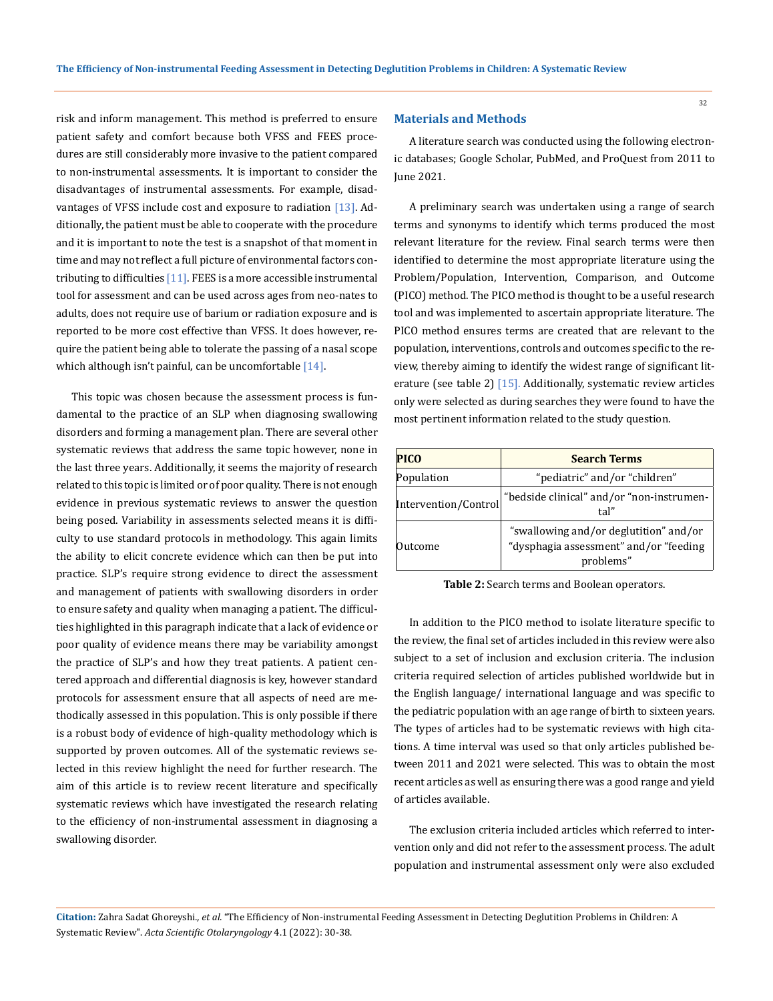risk and inform management. This method is preferred to ensure patient safety and comfort because both VFSS and FEES procedures are still considerably more invasive to the patient compared to non-instrumental assessments. It is important to consider the disadvantages of instrumental assessments. For example, disadvantages of VFSS include cost and exposure to radiation [13]. Additionally, the patient must be able to cooperate with the procedure and it is important to note the test is a snapshot of that moment in time and may not reflect a full picture of environmental factors contributing to difficulties [11]. FEES is a more accessible instrumental tool for assessment and can be used across ages from neo-nates to adults, does not require use of barium or radiation exposure and is reported to be more cost effective than VFSS. It does however, require the patient being able to tolerate the passing of a nasal scope which although isn't painful, can be uncomfortable  $[14]$ .

This topic was chosen because the assessment process is fundamental to the practice of an SLP when diagnosing swallowing disorders and forming a management plan. There are several other systematic reviews that address the same topic however, none in the last three years. Additionally, it seems the majority of research related to this topic is limited or of poor quality. There is not enough evidence in previous systematic reviews to answer the question being posed. Variability in assessments selected means it is difficulty to use standard protocols in methodology. This again limits the ability to elicit concrete evidence which can then be put into practice. SLP's require strong evidence to direct the assessment and management of patients with swallowing disorders in order to ensure safety and quality when managing a patient. The difficulties highlighted in this paragraph indicate that a lack of evidence or poor quality of evidence means there may be variability amongst the practice of SLP's and how they treat patients. A patient centered approach and differential diagnosis is key, however standard protocols for assessment ensure that all aspects of need are methodically assessed in this population. This is only possible if there is a robust body of evidence of high-quality methodology which is supported by proven outcomes. All of the systematic reviews selected in this review highlight the need for further research. The aim of this article is to review recent literature and specifically systematic reviews which have investigated the research relating to the efficiency of non-instrumental assessment in diagnosing a swallowing disorder.

# **Materials and Methods**

A literature search was conducted using the following electronic databases; Google Scholar, PubMed, and ProQuest from 2011 to June 2021.

A preliminary search was undertaken using a range of search terms and synonyms to identify which terms produced the most relevant literature for the review. Final search terms were then identified to determine the most appropriate literature using the Problem/Population, Intervention, Comparison, and Outcome (PICO) method. The PICO method is thought to be a useful research tool and was implemented to ascertain appropriate literature. The PICO method ensures terms are created that are relevant to the population, interventions, controls and outcomes specific to the review, thereby aiming to identify the widest range of significant literature (see table 2) [15]. Additionally, systematic review articles only were selected as during searches they were found to have the most pertinent information related to the study question.

| <b>PICO</b>          | <b>Search Terms</b>                                                                           |  |  |
|----------------------|-----------------------------------------------------------------------------------------------|--|--|
| Population           | "pediatric" and/or "children"                                                                 |  |  |
| Intervention/Control | "bedside clinical" and/or "non-instrumen-<br>tal"                                             |  |  |
| Outcome              | "swallowing and/or deglutition" and/or<br>"dysphagia assessment" and/or "feeding<br>problems" |  |  |

**Table 2:** Search terms and Boolean operators.

In addition to the PICO method to isolate literature specific to the review, the final set of articles included in this review were also subject to a set of inclusion and exclusion criteria. The inclusion criteria required selection of articles published worldwide but in the English language/ international language and was specific to the pediatric population with an age range of birth to sixteen years. The types of articles had to be systematic reviews with high citations. A time interval was used so that only articles published between 2011 and 2021 were selected. This was to obtain the most recent articles as well as ensuring there was a good range and yield of articles available.

The exclusion criteria included articles which referred to intervention only and did not refer to the assessment process. The adult population and instrumental assessment only were also excluded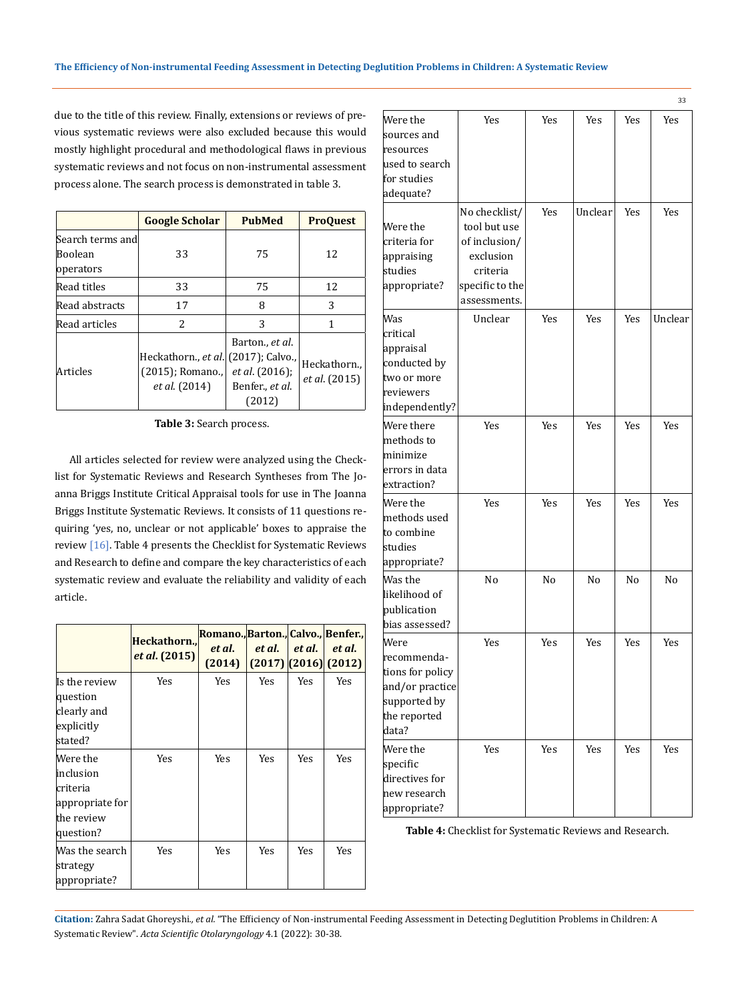due to the title of this review. Finally, extensions or reviews of previous systematic reviews were also excluded because this would mostly highlight procedural and methodological flaws in previous systematic reviews and not focus on non-instrumental assessment process alone. The search process is demonstrated in table 3.

|                                          | <b>Google Scholar</b>                                                    | <b>PubMed</b>                                                         | <b>ProQuest</b>                     |
|------------------------------------------|--------------------------------------------------------------------------|-----------------------------------------------------------------------|-------------------------------------|
| Search terms and<br>Boolean<br>operators | 33                                                                       | 75                                                                    | 12                                  |
| Read titles                              | 33                                                                       | 75                                                                    | 12                                  |
| Read abstracts                           | 17                                                                       | 8                                                                     | 3                                   |
| Read articles                            | $\mathcal{L}$                                                            | 3                                                                     | 1                                   |
| Articles                                 | Heckathorn., et al. (2017); Calvo.,<br>(2015); Romano.,<br>et al. (2014) | Barton., et al.<br><i>et al.</i> (2016);<br>Benfer., et al.<br>(2012) | Heckathorn.<br><i>et al.</i> (2015) |

**Table 3:** Search process.

All articles selected for review were analyzed using the Checklist for Systematic Reviews and Research Syntheses from The Joanna Briggs Institute Critical Appraisal tools for use in The Joanna Briggs Institute Systematic Reviews. It consists of 11 questions requiring 'yes, no, unclear or not applicable' boxes to appraise the review [16]. Table 4 presents the Checklist for Systematic Reviews and Research to define and compare the key characteristics of each systematic review and evaluate the reliability and validity of each article.

|                                                                                 | Heckathorn<br><i>et al.</i> (2015) | Romano., Barton., Calvo., Benfer.,<br>et al.<br>(2014) | et al.     | et al.     | et al.<br>$(2017)$ $(2016)$ $(2012)$ |
|---------------------------------------------------------------------------------|------------------------------------|--------------------------------------------------------|------------|------------|--------------------------------------|
| Is the review<br>question<br>clearly and<br>explicitly<br>stated?               | <b>Yes</b>                         | Yes                                                    | <b>Yes</b> | Yes        | Yes                                  |
| Were the<br>inclusion<br>criteria<br>appropriate for<br>the review<br>question? | Yes                                | Yes                                                    | Yes        | <b>Yes</b> | Yes                                  |
| Was the search<br>strategy<br>appropriate?                                      | <b>Yes</b>                         | <b>Yes</b>                                             | <b>Yes</b> | <b>Yes</b> | Yes                                  |

|                                                                                                     |                                                                                                            |            |            |            | 33         |
|-----------------------------------------------------------------------------------------------------|------------------------------------------------------------------------------------------------------------|------------|------------|------------|------------|
| Were the<br>sources and<br>resources<br>used to search<br>for studies<br>adequate?                  | Yes                                                                                                        | Yes        | <b>Yes</b> | <b>Yes</b> | <b>Yes</b> |
| Were the<br>criteria for<br>appraising<br>studies<br>appropriate?                                   | No checklist/<br>tool but use<br>of inclusion/<br>exclusion<br>criteria<br>specific to the<br>assessments. | Yes        | Unclear    | Yes        | Yes        |
| Was<br>critical<br>appraisal<br>conducted by<br>two or more<br>reviewers<br>independently?          | Unclear                                                                                                    | Yes        | Yes        | Yes        | Unclear    |
| Were there<br>methods to<br>minimize<br>errors in data<br>extraction?                               | Yes                                                                                                        | <b>Yes</b> | <b>Yes</b> | Yes        | <b>Yes</b> |
| Were the<br>methods used<br>to combine<br>studies<br>appropriate?                                   | Yes                                                                                                        | Yes        | Yes        | Yes        | Yes        |
| Was the<br>likelihood of<br>publication<br>bias assessed?                                           | No                                                                                                         | No         | No         | No         | No         |
| Were<br>recommenda-<br>tions for policy<br>and/or practice<br>supported by<br>the reported<br>data? | Yes                                                                                                        | Yes        | <b>Yes</b> | Yes        | Yes        |
| Were the<br>specific<br>directives for<br>new research<br>appropriate?                              | Yes                                                                                                        | Yes        | Yes        | Yes        | Yes        |

**Table 4:** Checklist for Systematic Reviews and Research.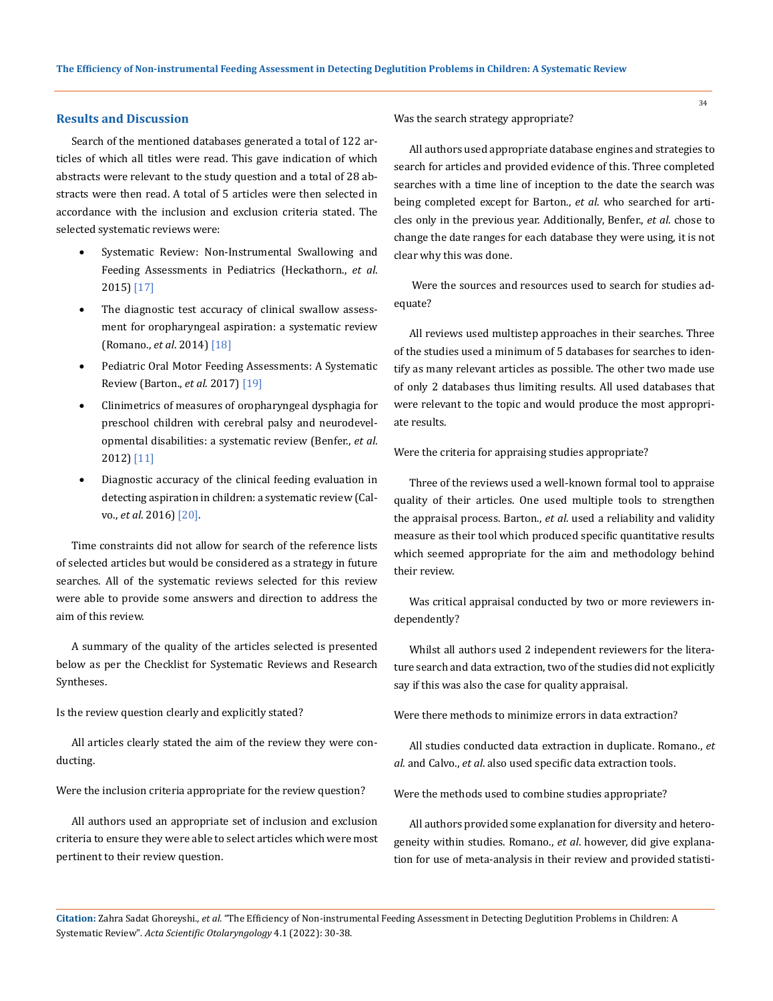# **Results and Discussion**

Search of the mentioned databases generated a total of 122 articles of which all titles were read. This gave indication of which abstracts were relevant to the study question and a total of 28 abstracts were then read. A total of 5 articles were then selected in accordance with the inclusion and exclusion criteria stated. The selected systematic reviews were:

- Systematic Review: Non-Instrumental Swallowing and Feeding Assessments in Pediatrics (Heckathorn., *et al*. 2015) [17]
- The diagnostic test accuracy of clinical swallow assessment for oropharyngeal aspiration: a systematic review (Romano., *et al*. 2014) [18]
- Pediatric Oral Motor Feeding Assessments: A Systematic Review (Barton., *et al*. 2017) [19]
- Clinimetrics of measures of oropharyngeal dysphagia for preschool children with cerebral palsy and neurodevelopmental disabilities: a systematic review (Benfer., *et al*. 2012) [11]
- Diagnostic accuracy of the clinical feeding evaluation in detecting aspiration in children: a systematic review (Calvo., *et al*. 2016) [20].

Time constraints did not allow for search of the reference lists of selected articles but would be considered as a strategy in future searches. All of the systematic reviews selected for this review were able to provide some answers and direction to address the aim of this review.

A summary of the quality of the articles selected is presented below as per the Checklist for Systematic Reviews and Research Syntheses.

#### Is the review question clearly and explicitly stated?

All articles clearly stated the aim of the review they were conducting.

Were the inclusion criteria appropriate for the review question?

All authors used an appropriate set of inclusion and exclusion criteria to ensure they were able to select articles which were most pertinent to their review question.

Was the search strategy appropriate?

All authors used appropriate database engines and strategies to search for articles and provided evidence of this. Three completed searches with a time line of inception to the date the search was being completed except for Barton., *et al*. who searched for articles only in the previous year. Additionally, Benfer., *et al*. chose to change the date ranges for each database they were using, it is not clear why this was done.

 Were the sources and resources used to search for studies adequate?

All reviews used multistep approaches in their searches. Three of the studies used a minimum of 5 databases for searches to identify as many relevant articles as possible. The other two made use of only 2 databases thus limiting results. All used databases that were relevant to the topic and would produce the most appropriate results.

Were the criteria for appraising studies appropriate?

Three of the reviews used a well-known formal tool to appraise quality of their articles. One used multiple tools to strengthen the appraisal process. Barton., *et al*. used a reliability and validity measure as their tool which produced specific quantitative results which seemed appropriate for the aim and methodology behind their review.

Was critical appraisal conducted by two or more reviewers independently?

Whilst all authors used 2 independent reviewers for the literature search and data extraction, two of the studies did not explicitly say if this was also the case for quality appraisal.

Were there methods to minimize errors in data extraction?

All studies conducted data extraction in duplicate. Romano., *et al*. and Calvo., *et al*. also used specific data extraction tools.

Were the methods used to combine studies appropriate?

All authors provided some explanation for diversity and heterogeneity within studies. Romano., *et al*. however, did give explanation for use of meta-analysis in their review and provided statisti-

**Citation:** Zahra Sadat Ghoreyshi*., et al.* "The Efficiency of Non-instrumental Feeding Assessment in Detecting Deglutition Problems in Children: A Systematic Review". *Acta Scientific Otolaryngology* 4.1 (2022): 30-38.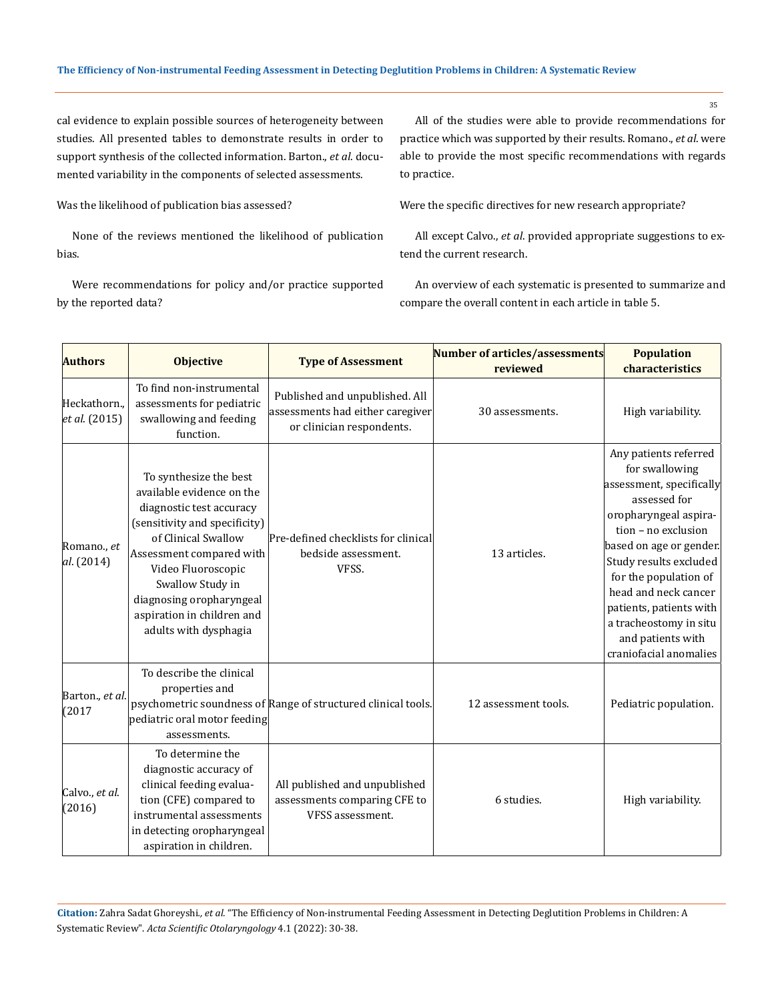cal evidence to explain possible sources of heterogeneity between studies. All presented tables to demonstrate results in order to support synthesis of the collected information. Barton., *et al*. documented variability in the components of selected assessments.

Was the likelihood of publication bias assessed?

None of the reviews mentioned the likelihood of publication bias.

Were recommendations for policy and/or practice supported by the reported data?

All of the studies were able to provide recommendations for practice which was supported by their results. Romano., *et al*. were able to provide the most specific recommendations with regards to practice.

Were the specific directives for new research appropriate?

All except Calvo., *et al*. provided appropriate suggestions to extend the current research.

An overview of each systematic is presented to summarize and compare the overall content in each article in table 5.

| <b>Authors</b>              | <b>Objective</b>                                                                                                                                                                                                                                                                                 | <b>Type of Assessment</b>                                                                       | Number of articles/assessments<br>reviewed | <b>Population</b><br>characteristics                                                                                                                                                                                                                                                                                                          |
|-----------------------------|--------------------------------------------------------------------------------------------------------------------------------------------------------------------------------------------------------------------------------------------------------------------------------------------------|-------------------------------------------------------------------------------------------------|--------------------------------------------|-----------------------------------------------------------------------------------------------------------------------------------------------------------------------------------------------------------------------------------------------------------------------------------------------------------------------------------------------|
| Heckathorn<br>et al. (2015) | To find non-instrumental<br>assessments for pediatric<br>swallowing and feeding<br>function.                                                                                                                                                                                                     | Published and unpublished. All<br>assessments had either caregiver<br>or clinician respondents. | 30 assessments.                            | High variability.                                                                                                                                                                                                                                                                                                                             |
| Romano., et<br>al. (2014)   | To synthesize the best<br>available evidence on the<br>diagnostic test accuracy<br>(sensitivity and specificity)<br>of Clinical Swallow<br>Assessment compared with<br>Video Fluoroscopic<br>Swallow Study in<br>diagnosing oropharyngeal<br>aspiration in children and<br>adults with dysphagia | Pre-defined checklists for clinical<br>bedside assessment.<br>VFSS.                             | 13 articles.                               | Any patients referred<br>for swallowing<br>assessment, specifically<br>assessed for<br>oropharyngeal aspira-<br>tion - no exclusion<br>based on age or gender.<br>Study results excluded<br>for the population of<br>head and neck cancer<br>patients, patients with<br>a tracheostomy in situ<br>and patients with<br>craniofacial anomalies |
| Barton., et al.<br>(2017)   | To describe the clinical<br>properties and<br>pediatric oral motor feeding<br>assessments.                                                                                                                                                                                                       | psychometric soundness of Range of structured clinical tools.                                   | 12 assessment tools.                       | Pediatric population.                                                                                                                                                                                                                                                                                                                         |
| Calvo., et al.<br>(2016)    | To determine the<br>diagnostic accuracy of<br>clinical feeding evalua-<br>tion (CFE) compared to<br>instrumental assessments<br>in detecting oropharyngeal<br>aspiration in children.                                                                                                            | All published and unpublished<br>assessments comparing CFE to<br>VFSS assessment.               | 6 studies.                                 | High variability.                                                                                                                                                                                                                                                                                                                             |

**Citation:** Zahra Sadat Ghoreyshi*., et al.* "The Efficiency of Non-instrumental Feeding Assessment in Detecting Deglutition Problems in Children: A Systematic Review". *Acta Scientific Otolaryngology* 4.1 (2022): 30-38.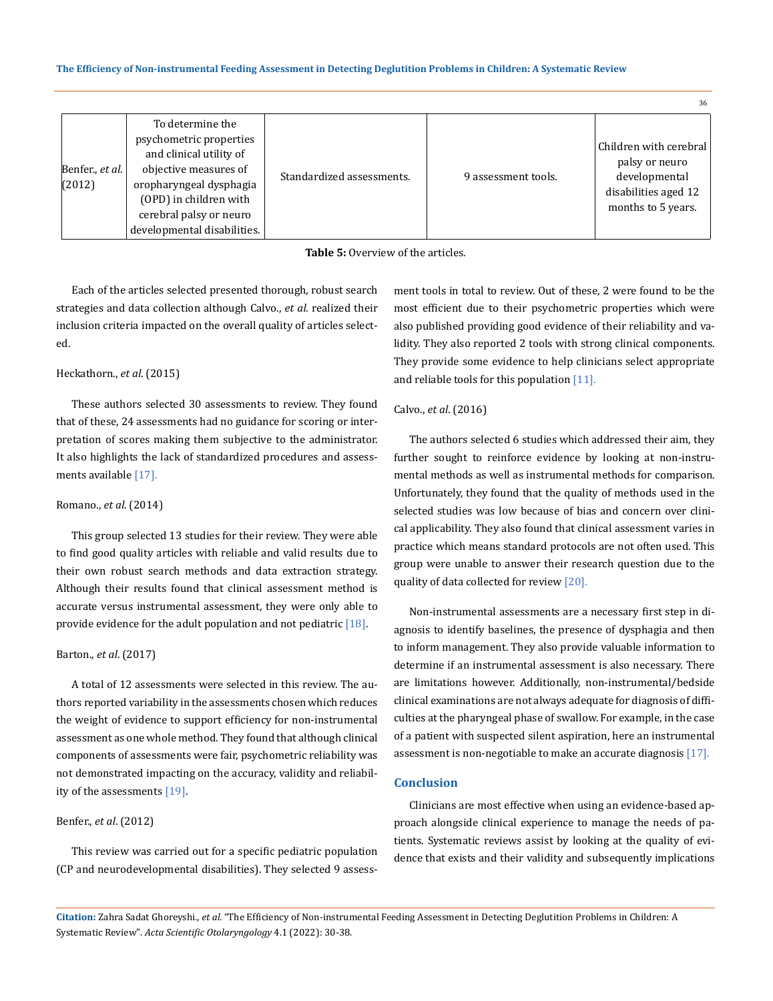#### **The Efficiency of Non-instrumental Feeding Assessment in Detecting Deglutition Problems in Children: A Systematic Review**

|                           |                                                                                                                                                                                                                |                           |                     | 36                                                                                                      |
|---------------------------|----------------------------------------------------------------------------------------------------------------------------------------------------------------------------------------------------------------|---------------------------|---------------------|---------------------------------------------------------------------------------------------------------|
| Benfer., et al.<br>(2012) | To determine the<br>psychometric properties<br>and clinical utility of<br>objective measures of<br>oropharyngeal dysphagia<br>(OPD) in children with<br>cerebral palsy or neuro<br>developmental disabilities. | Standardized assessments. | 9 assessment tools. | Children with cerebral<br>palsy or neuro<br>developmental<br>disabilities aged 12<br>months to 5 years. |



Each of the articles selected presented thorough, robust search strategies and data collection although Calvo., *et al*. realized their inclusion criteria impacted on the overall quality of articles selected.

# Heckathorn., *et al*. (2015)

These authors selected 30 assessments to review. They found that of these, 24 assessments had no guidance for scoring or interpretation of scores making them subjective to the administrator. It also highlights the lack of standardized procedures and assessments available [17].

#### Romano., *et al*. (2014)

This group selected 13 studies for their review. They were able to find good quality articles with reliable and valid results due to their own robust search methods and data extraction strategy. Although their results found that clinical assessment method is accurate versus instrumental assessment, they were only able to provide evidence for the adult population and not pediatric [18].

### Barton., *et al*. (2017)

A total of 12 assessments were selected in this review. The authors reported variability in the assessments chosen which reduces the weight of evidence to support efficiency for non-instrumental assessment as one whole method. They found that although clinical components of assessments were fair, psychometric reliability was not demonstrated impacting on the accuracy, validity and reliability of the assessments [19].

# Benfer., *et al*. (2012)

This review was carried out for a specific pediatric population (CP and neurodevelopmental disabilities). They selected 9 assessment tools in total to review. Out of these, 2 were found to be the most efficient due to their psychometric properties which were also published providing good evidence of their reliability and validity. They also reported 2 tools with strong clinical components. They provide some evidence to help clinicians select appropriate and reliable tools for this population [11].

#### Calvo., *et al*. (2016)

The authors selected 6 studies which addressed their aim, they further sought to reinforce evidence by looking at non-instrumental methods as well as instrumental methods for comparison. Unfortunately, they found that the quality of methods used in the selected studies was low because of bias and concern over clinical applicability. They also found that clinical assessment varies in practice which means standard protocols are not often used. This group were unable to answer their research question due to the quality of data collected for review [20].

Non-instrumental assessments are a necessary first step in diagnosis to identify baselines, the presence of dysphagia and then to inform management. They also provide valuable information to determine if an instrumental assessment is also necessary. There are limitations however. Additionally, non-instrumental/bedside clinical examinations are not always adequate for diagnosis of difficulties at the pharyngeal phase of swallow. For example, in the case of a patient with suspected silent aspiration, here an instrumental assessment is non-negotiable to make an accurate diagnosis [17].

### **Conclusion**

Clinicians are most effective when using an evidence-based approach alongside clinical experience to manage the needs of patients. Systematic reviews assist by looking at the quality of evidence that exists and their validity and subsequently implications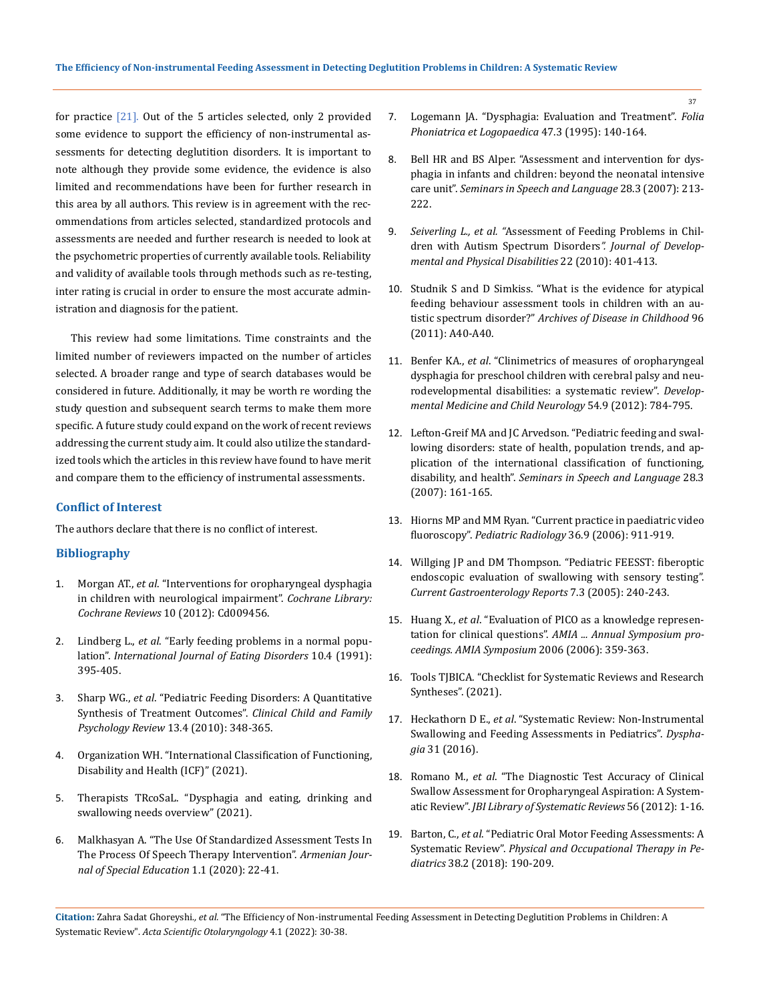for practice [21]. Out of the 5 articles selected, only 2 provided some evidence to support the efficiency of non-instrumental assessments for detecting deglutition disorders. It is important to note although they provide some evidence, the evidence is also limited and recommendations have been for further research in this area by all authors. This review is in agreement with the recommendations from articles selected, standardized protocols and assessments are needed and further research is needed to look at the psychometric properties of currently available tools. Reliability and validity of available tools through methods such as re-testing, inter rating is crucial in order to ensure the most accurate administration and diagnosis for the patient.

This review had some limitations. Time constraints and the limited number of reviewers impacted on the number of articles selected. A broader range and type of search databases would be considered in future. Additionally, it may be worth re wording the study question and subsequent search terms to make them more specific. A future study could expand on the work of recent reviews addressing the current study aim. It could also utilize the standardized tools which the articles in this review have found to have merit and compare them to the efficiency of instrumental assessments.

### **Conflict of Interest**

The authors declare that there is no conflict of interest.

## **Bibliography**

- 1. Morgan AT., *et al*[. "Interventions for oropharyngeal dysphagia](https://pubmed.ncbi.nlm.nih.gov/23076958/)  [in children with neurological impairment".](https://pubmed.ncbi.nlm.nih.gov/23076958/) *Cochrane Library: Cochrane Reviews* [10 \(2012\): Cd009456.](https://pubmed.ncbi.nlm.nih.gov/23076958/)
- 2. Lindberg L., *et al*[. "Early feeding problems in a normal popu](https://onlinelibrary.wiley.com/doi/abs/10.1002/1098-108X%28199107%2910%3A4%3C395%3A%3AAID-EAT2260100404%3E3.0.CO%3B2-A)lation". *[International Journal of Eating Disorders](https://onlinelibrary.wiley.com/doi/abs/10.1002/1098-108X%28199107%2910%3A4%3C395%3A%3AAID-EAT2260100404%3E3.0.CO%3B2-A)* 10.4 (1991): [395-405.](https://onlinelibrary.wiley.com/doi/abs/10.1002/1098-108X%28199107%2910%3A4%3C395%3A%3AAID-EAT2260100404%3E3.0.CO%3B2-A)
- 3. Sharp WG., *et al*[. "Pediatric Feeding Disorders: A Quantitative](https://pubmed.ncbi.nlm.nih.gov/20844951/)  [Synthesis of Treatment Outcomes".](https://pubmed.ncbi.nlm.nih.gov/20844951/) *Clinical Child and Family Psychology Review* [13.4 \(2010\): 348-365.](https://pubmed.ncbi.nlm.nih.gov/20844951/)
- 4. Organization WH. "International Classification of Functioning, Disability and Health (ICF)" (2021).
- 5. Therapists TRcoSaL. "Dysphagia and eating, drinking and swallowing needs overview" (2021).
- 6. [Malkhasyan A. "The Use Of Standardized Assessment Tests In](https://specedjournal.aspu.am/index.php/se/article/view/62)  [The Process Of Speech Therapy Intervention".](https://specedjournal.aspu.am/index.php/se/article/view/62) *Armenian Jour[nal of Special Education](https://specedjournal.aspu.am/index.php/se/article/view/62)* 1.1 (2020): 22-41.
- 7. [Logemann JA. "Dysphagia: Evaluation and Treatment".](https://pubmed.ncbi.nlm.nih.gov/7640720/) *Folia [Phoniatrica et Logopaedica](https://pubmed.ncbi.nlm.nih.gov/7640720/)* 47.3 (1995): 140-164.
- 8. [Bell HR and BS Alper. "Assessment and intervention for dys](https://pubmed.ncbi.nlm.nih.gov/17647133/)[phagia in infants and children: beyond the neonatal intensive](https://pubmed.ncbi.nlm.nih.gov/17647133/)  care unit". *[Seminars in Speech and Language](https://pubmed.ncbi.nlm.nih.gov/17647133/)* 28.3 (2007): 213- [222.](https://pubmed.ncbi.nlm.nih.gov/17647133/)
- 9. *Seiverling L., et al. "*[Assessment of Feeding Problems in Chil](https://www.sciencedirect.com/science/article/abs/pii/S1750946715001385)[dren with Autism Spectrum Disorders](https://www.sciencedirect.com/science/article/abs/pii/S1750946715001385)*". Journal of Develop[mental and Physical Disabilities](https://www.sciencedirect.com/science/article/abs/pii/S1750946715001385)* 22 (2010): 401-413.
- 10. [Studnik S and D Simkiss. "What is the evidence for atypical](https://adc.bmj.com/content/96/Suppl_1/A40.1)  [feeding behaviour assessment tools in children with an au](https://adc.bmj.com/content/96/Suppl_1/A40.1)tistic spectrum disorder?" *[Archives of Disease in Childhood](https://adc.bmj.com/content/96/Suppl_1/A40.1)* 96 [\(2011\): A40-A40.](https://adc.bmj.com/content/96/Suppl_1/A40.1)
- 11. Benfer KA., *et al*[. "Clinimetrics of measures of oropharyngeal](https://pubmed.ncbi.nlm.nih.gov/22582745/)  [dysphagia for preschool children with cerebral palsy and neu](https://pubmed.ncbi.nlm.nih.gov/22582745/)[rodevelopmental disabilities: a systematic review".](https://pubmed.ncbi.nlm.nih.gov/22582745/) *Develop[mental Medicine and Child Neurology](https://pubmed.ncbi.nlm.nih.gov/22582745/)* 54.9 (2012): 784-795.
- 12. [Lefton-Greif MA and JC Arvedson. "Pediatric feeding and swal](https://pubmed.ncbi.nlm.nih.gov/17647128/)[lowing disorders: state of health, population trends, and ap](https://pubmed.ncbi.nlm.nih.gov/17647128/)[plication of the international classification of functioning,](https://pubmed.ncbi.nlm.nih.gov/17647128/)  disability, and health". *[Seminars in Speech and Language](https://pubmed.ncbi.nlm.nih.gov/17647128/)* 28.3 [\(2007\): 161-165.](https://pubmed.ncbi.nlm.nih.gov/17647128/)
- 13. [Hiorns MP and MM Ryan. "Current practice in paediatric video](https://pubmed.ncbi.nlm.nih.gov/16552584/)  fluoroscopy". *[Pediatric Radiology](https://pubmed.ncbi.nlm.nih.gov/16552584/)* 36.9 (2006): 911-919.
- 14. [Willging JP and DM Thompson. "Pediatric FEESST: fiberoptic](https://link.springer.com/article/10.1007/s11894-005-0041-x)  [endoscopic evaluation of swallowing with sensory testing".](https://link.springer.com/article/10.1007/s11894-005-0041-x)  *[Current Gastroenterology Reports](https://link.springer.com/article/10.1007/s11894-005-0041-x)* 7.3 (2005): 240-243.
- 15. Huang X., *et al*[. "Evaluation of PICO as a knowledge represen](https://www.ncbi.nlm.nih.gov/pmc/articles/PMC1839740/)tation for clinical questions". *[AMIA ... Annual Symposium pro](https://www.ncbi.nlm.nih.gov/pmc/articles/PMC1839740/)[ceedings. AMIA Symposium](https://www.ncbi.nlm.nih.gov/pmc/articles/PMC1839740/)* 2006 (2006): 359-363.
- 16. Tools TJBICA. "Checklist for Systematic Reviews and Research Syntheses". (2021).
- 17. Heckathorn D E., *et al*[. "Systematic Review: Non-Instrumental](https://pubmed.ncbi.nlm.nih.gov/26607159/)  [Swallowing and Feeding Assessments in Pediatrics".](https://pubmed.ncbi.nlm.nih.gov/26607159/) *Dysphagia* [31 \(2016\).](https://pubmed.ncbi.nlm.nih.gov/26607159/)
- 18. Romano M., *et al*[. "The Diagnostic Test Accuracy of Clinical](https://pubmed.ncbi.nlm.nih.gov/27820273/)  [Swallow Assessment for Oropharyngeal Aspiration: A System](https://pubmed.ncbi.nlm.nih.gov/27820273/)atic Review". *[JBI Library of Systematic Reviews](https://pubmed.ncbi.nlm.nih.gov/27820273/)* 56 (2012): 1-16.
- 19. Barton, C., *et al*[. "Pediatric Oral Motor Feeding Assessments: A](https://pubmed.ncbi.nlm.nih.gov/28430014/)  Systematic Review". *[Physical and Occupational Therapy in Pe](https://pubmed.ncbi.nlm.nih.gov/28430014/)diatrics* [38.2 \(2018\): 190-209.](https://pubmed.ncbi.nlm.nih.gov/28430014/)

**Citation:** Zahra Sadat Ghoreyshi*., et al.* "The Efficiency of Non-instrumental Feeding Assessment in Detecting Deglutition Problems in Children: A Systematic Review". *Acta Scientific Otolaryngology* 4.1 (2022): 30-38.